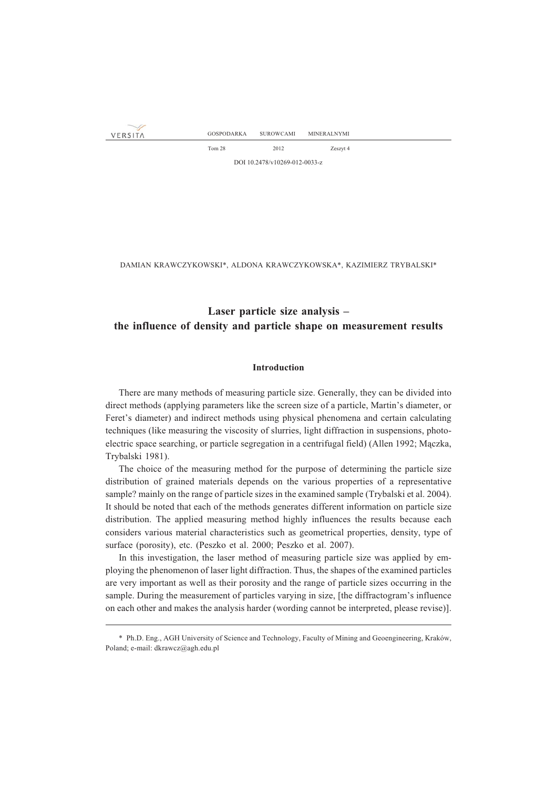VERSITA

Tom 28 2012 Zeszyt 4 DOI 10.2478/v10269-012-0033-z

DAMIAN KRAWCZYKOWSKI\*, ALDONA KRAWCZYKOWSKA\*, KAZIMIERZ TRYBALSKI\*

# **Laser particle size analysis – the influence of density and particle shape on measurement results**

## **Introduction**

There are many methods of measuring particle size. Generally, they can be divided into direct methods (applying parameters like the screen size of a particle, Martin's diameter, or Feret's diameter) and indirect methods using physical phenomena and certain calculating techniques (like measuring the viscosity of slurries, light diffraction in suspensions, photoelectric space searching, or particle segregation in a centrifugal field) (Allen 1992; Maczka, Trybalski 1981).

The choice of the measuring method for the purpose of determining the particle size distribution of grained materials depends on the various properties of a representative sample? mainly on the range of particle sizes in the examined sample (Trybalski et al. 2004). It should be noted that each of the methods generates different information on particle size distribution. The applied measuring method highly influences the results because each considers various material characteristics such as geometrical properties, density, type of surface (porosity), etc. (Peszko et al. 2000; Peszko et al. 2007).

In this investigation, the laser method of measuring particle size was applied by employing the phenomenon of laser light diffraction. Thus, the shapes of the examined particles are very important as well as their porosity and the range of particle sizes occurring in the sample. During the measurement of particles varying in size, [the diffractogram's influence on each other and makes the analysis harder (wording cannot be interpreted, please revise)].

<sup>\*</sup> Ph.D. Eng., AGH University of Science and Technology, Faculty of Mining and Geoengineering, Kraków, Poland; e-mail: dkrawcz@agh.edu.pl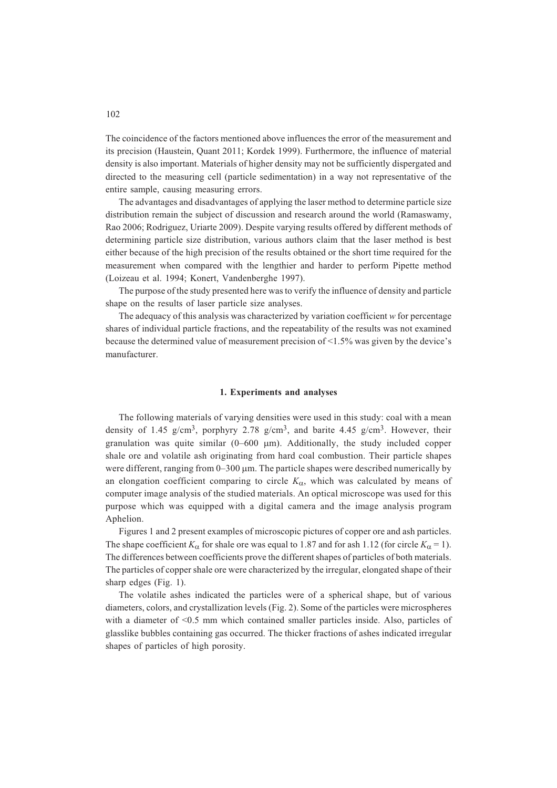The coincidence of the factors mentioned above influences the error of the measurement and its precision (Haustein, Quant 2011; Kordek 1999). Furthermore, the influence of material density is also important. Materials of higher density may not be sufficiently dispergated and directed to the measuring cell (particle sedimentation) in a way not representative of the entire sample, causing measuring errors.

The advantages and disadvantages of applying the laser method to determine particle size distribution remain the subject of discussion and research around the world (Ramaswamy, Rao 2006; Rodriguez, Uriarte 2009). Despite varying results offered by different methods of determining particle size distribution, various authors claim that the laser method is best either because of the high precision of the results obtained or the short time required for the measurement when compared with the lengthier and harder to perform Pipette method (Loizeau et al. 1994; Konert, Vandenberghe 1997).

The purpose of the study presented here was to verify the influence of density and particle shape on the results of laser particle size analyses.

The adequacy of this analysis was characterized by variation coefficient *w* for percentage shares of individual particle fractions, and the repeatability of the results was not examined because the determined value of measurement precision of <1.5% was given by the device's manufacturer.

## **1. Experiments and analyses**

The following materials of varying densities were used in this study: coal with a mean density of 1.45 g/cm<sup>3</sup>, porphyry 2.78 g/cm<sup>3</sup>, and barite 4.45 g/cm<sup>3</sup>. However, their granulation was quite similar  $(0-600 \mu m)$ . Additionally, the study included copper shale ore and volatile ash originating from hard coal combustion. Their particle shapes were different, ranging from  $0-300$   $\mu$ m. The particle shapes were described numerically by an elongation coefficient comparing to circle  $K_{\alpha}$ , which was calculated by means of computer image analysis of the studied materials. An optical microscope was used for this purpose which was equipped with a digital camera and the image analysis program Aphelion.

Figures 1 and 2 present examples of microscopic pictures of copper ore and ash particles. The shape coefficient  $K_{\alpha}$  for shale ore was equal to 1.87 and for ash 1.12 (for circle  $K_{\alpha} = 1$ ). The differences between coefficients prove the different shapes of particles of both materials. The particles of copper shale ore were characterized by the irregular, elongated shape of their sharp edges (Fig. 1).

The volatile ashes indicated the particles were of a spherical shape, but of various diameters, colors, and crystallization levels (Fig. 2). Some of the particles were microspheres with a diameter of <0.5 mm which contained smaller particles inside. Also, particles of glasslike bubbles containing gas occurred. The thicker fractions of ashes indicated irregular shapes of particles of high porosity.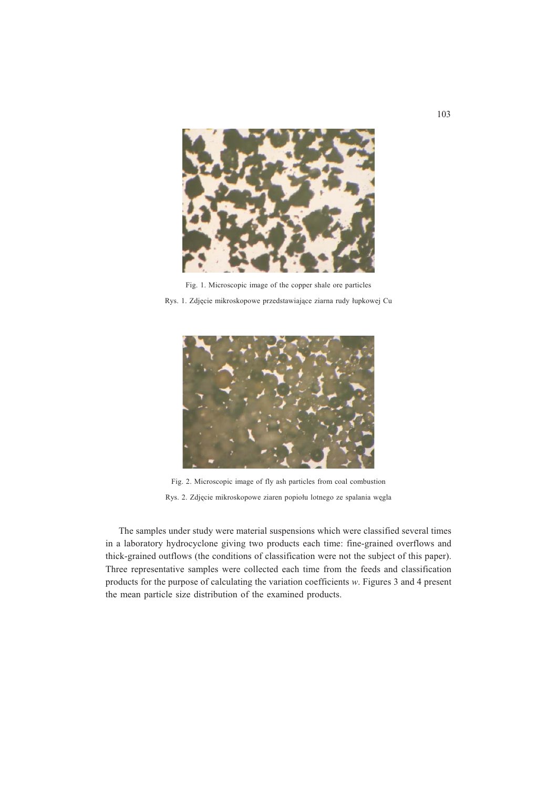

Fig. 1. Microscopic image of the copper shale ore particles

Rys. 1. Zdjęcie mikroskopowe przedstawiające ziarna rudy łupkowej Cu



Fig. 2. Microscopic image of fly ash particles from coal combustion Rys. 2. Zdjęcie mikroskopowe ziaren popiołu lotnego ze spalania węgla

The samples under study were material suspensions which were classified several times in a laboratory hydrocyclone giving two products each time: fine-grained overflows and thick-grained outflows (the conditions of classification were not the subject of this paper). Three representative samples were collected each time from the feeds and classification products for the purpose of calculating the variation coefficients *w*. Figures 3 and 4 present the mean particle size distribution of the examined products.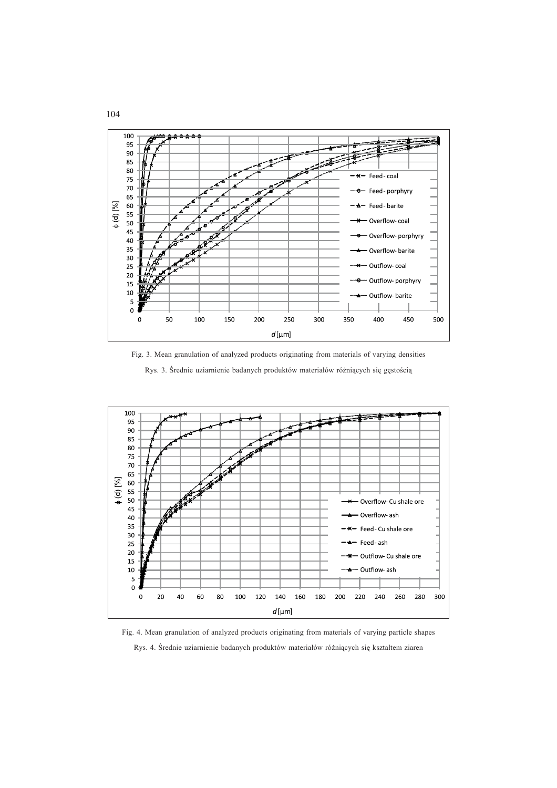

Fig. 3. Mean granulation of analyzed products originating from materials of varying densities





Fig. 4. Mean granulation of analyzed products originating from materials of varying particle shapes

Rys. 4. Średnie uziarnienie badanych produktów materiałów różniących się kształtem ziaren

104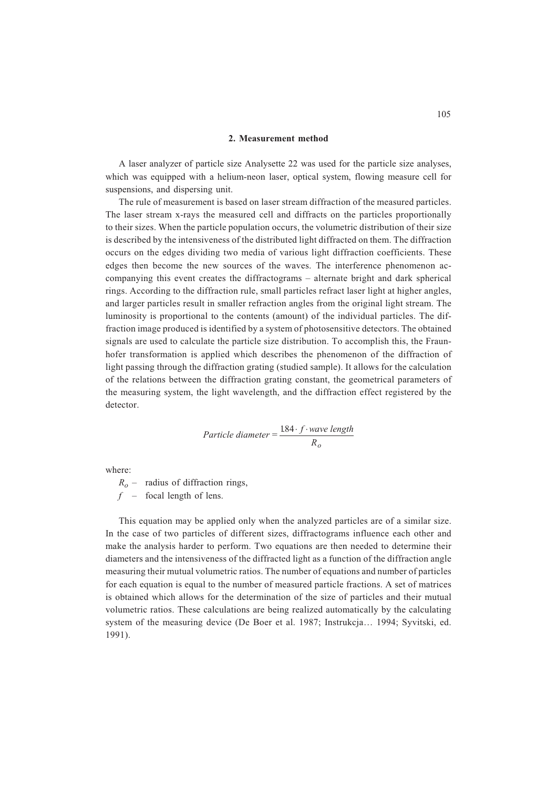## **2. Measurement method**

A laser analyzer of particle size Analysette 22 was used for the particle size analyses, which was equipped with a helium-neon laser, optical system, flowing measure cell for suspensions, and dispersing unit.

The rule of measurement is based on laser stream diffraction of the measured particles. The laser stream x-rays the measured cell and diffracts on the particles proportionally to their sizes. When the particle population occurs, the volumetric distribution of their size is described by the intensiveness of the distributed light diffracted on them. The diffraction occurs on the edges dividing two media of various light diffraction coefficients. These edges then become the new sources of the waves. The interference phenomenon accompanying this event creates the diffractograms – alternate bright and dark spherical rings. According to the diffraction rule, small particles refract laser light at higher angles, and larger particles result in smaller refraction angles from the original light stream. The luminosity is proportional to the contents (amount) of the individual particles. The diffraction image produced is identified by a system of photosensitive detectors. The obtained signals are used to calculate the particle size distribution. To accomplish this, the Fraunhofer transformation is applied which describes the phenomenon of the diffraction of light passing through the diffraction grating (studied sample). It allows for the calculation of the relations between the diffraction grating constant, the geometrical parameters of the measuring system, the light wavelength, and the diffraction effect registered by the detector.

$$
Particle\ diameter = \frac{1.84 \cdot f \cdot wave\ length}{R_o}
$$

where:

 $R<sub>o</sub>$  – radius of diffraction rings,

*f* – focal length of lens.

This equation may be applied only when the analyzed particles are of a similar size. In the case of two particles of different sizes, diffractograms influence each other and make the analysis harder to perform. Two equations are then needed to determine their diameters and the intensiveness of the diffracted light as a function of the diffraction angle measuring their mutual volumetric ratios. The number of equations and number of particles for each equation is equal to the number of measured particle fractions. A set of matrices is obtained which allows for the determination of the size of particles and their mutual volumetric ratios. These calculations are being realized automatically by the calculating system of the measuring device (De Boer et al. 1987; Instrukcja… 1994; Syvitski, ed. 1991).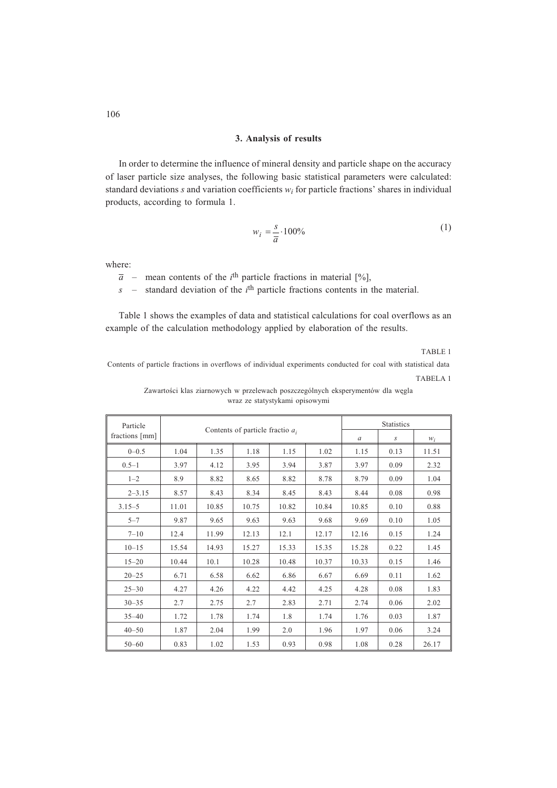## **3. Analysis of results**

In order to determine the influence of mineral density and particle shape on the accuracy of laser particle size analyses, the following basic statistical parameters were calculated: standard deviations  $s$  and variation coefficients  $w_i$  for particle fractions' shares in individual products, according to formula 1.

$$
w_i = \frac{s}{\overline{a}} \cdot 100\% \tag{1}
$$

where:

 $\overline{a}$  – mean contents of the *i*<sup>th</sup> particle fractions in material [%],

 $s$  – standard deviation of the  $i<sup>th</sup>$  particle fractions contents in the material.

Table 1 shows the examples of data and statistical calculations for coal overflows as an example of the calculation methodology applied by elaboration of the results.

TABLE 1

Contents of particle fractions in overflows of individual experiments conducted for coal with statistical data TABELA 1

| Particle       |       |       |                                    | <b>Statistics</b> |                  |       |      |       |
|----------------|-------|-------|------------------------------------|-------------------|------------------|-------|------|-------|
| fractions [mm] |       |       | Contents of particle fractio $a_i$ | a                 | $\boldsymbol{S}$ | $W_i$ |      |       |
| $0 - 0.5$      | 1.04  | 1.35  | 1.18                               | 1.15              | 1.02             | 1.15  | 0.13 | 11.51 |
| $0.5 - 1$      | 3.97  | 4.12  | 3.95                               | 3.94              | 3.87             | 3.97  | 0.09 | 2.32  |
| $1 - 2$        | 8.9   | 8.82  | 8.65                               | 8.82              | 8.78             | 8.79  | 0.09 | 1.04  |
| $2 - 3.15$     | 8.57  | 8.43  | 8.34                               | 8.45              | 8.43             | 8.44  | 0.08 | 0.98  |
| $3.15 - 5$     | 11.01 | 10.85 | 10.75                              | 10.82             | 10.84            | 10.85 | 0.10 | 0.88  |
| $5 - 7$        | 9.87  | 9.65  | 9.63                               | 9.63              | 9.68             | 9.69  | 0.10 | 1.05  |
| $7 - 10$       | 12.4  | 11.99 | 12.13                              | 12.1              | 12.17            | 12.16 | 0.15 | 1.24  |
| $10 - 15$      | 15.54 | 14.93 | 15.27                              | 15.33             | 15.35            | 15.28 | 0.22 | 1.45  |
| $15 - 20$      | 10.44 | 10.1  | 10.28                              | 10.48             | 10.37            | 10.33 | 0.15 | 1.46  |
| $20 - 25$      | 6.71  | 6.58  | 6.62                               | 6.86              | 6.67             | 6.69  | 0.11 | 1.62  |
| $25 - 30$      | 4.27  | 4.26  | 4.22                               | 4.42              | 4.25             | 4.28  | 0.08 | 1.83  |
| $30 - 35$      | 2.7   | 2.75  | 2.7                                | 2.83              | 2.71             | 2.74  | 0.06 | 2.02  |
| $35 - 40$      | 1.72  | 1.78  | 1.74                               | 1.8               | 1.74             | 1.76  | 0.03 | 1.87  |
| $40 - 50$      | 1.87  | 2.04  | 1.99                               | 2.0               | 1.96             | 1.97  | 0.06 | 3.24  |
| $50 - 60$      | 0.83  | 1.02  | 1.53                               | 0.93              | 0.98             | 1.08  | 0.28 | 26.17 |

|                                |  |  |  |  |  |  | Zawartości klas ziarnowych w przelewach poszczególnych eksperymentów dla węgla |  |  |  |  |
|--------------------------------|--|--|--|--|--|--|--------------------------------------------------------------------------------|--|--|--|--|
| wraz ze statystykami opisowymi |  |  |  |  |  |  |                                                                                |  |  |  |  |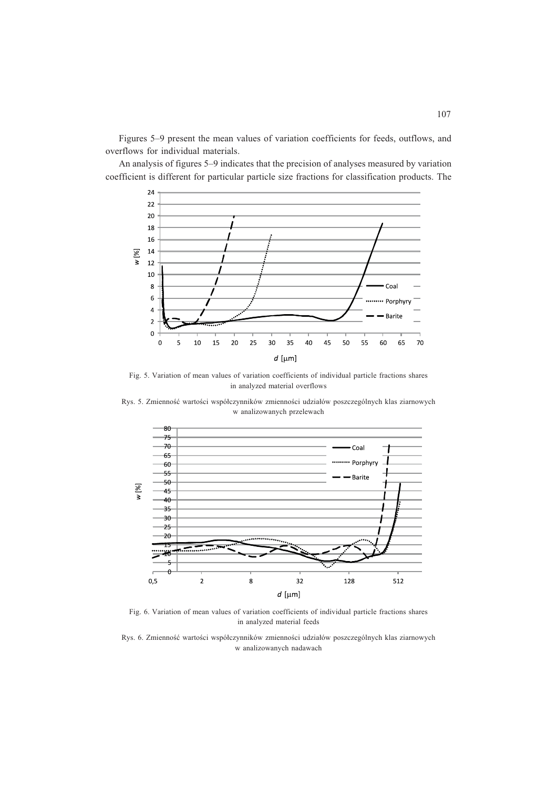Figures 5–9 present the mean values of variation coefficients for feeds, outflows, and overflows for individual materials.

An analysis of figures 5–9 indicates that the precision of analyses measured by variation coefficient is different for particular particle size fractions for classification products. The



Fig. 5. Variation of mean values of variation coefficients of individual particle fractions shares in analyzed material overflows

Rys. 5. Zmienność wartości współczynników zmienności udziałów poszczególnych klas ziarnowych w analizowanych przelewach



Fig. 6. Variation of mean values of variation coefficients of individual particle fractions shares in analyzed material feeds

Rys. 6. Zmienność wartości współczynników zmienności udziałów poszczególnych klas ziarnowych w analizowanych nadawach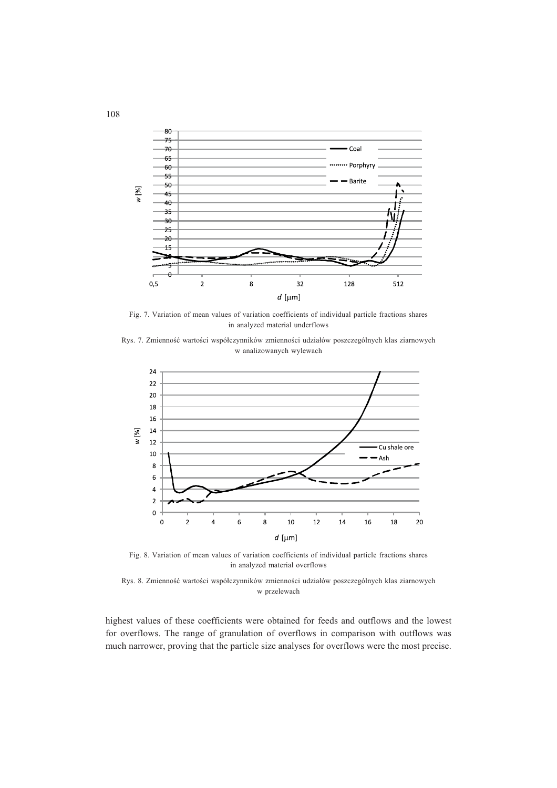

Fig. 7. Variation of mean values of variation coefficients of individual particle fractions shares in analyzed material underflows

Rys. 7. Zmienność wartości współczynników zmienności udziałów poszczególnych klas ziarnowych w analizowanych wylewach



Fig. 8. Variation of mean values of variation coefficients of individual particle fractions shares in analyzed material overflows

Rys. 8. Zmienność wartości współczynników zmienności udziałów poszczególnych klas ziarnowych w przelewach

highest values of these coefficients were obtained for feeds and outflows and the lowest for overflows. The range of granulation of overflows in comparison with outflows was much narrower, proving that the particle size analyses for overflows were the most precise.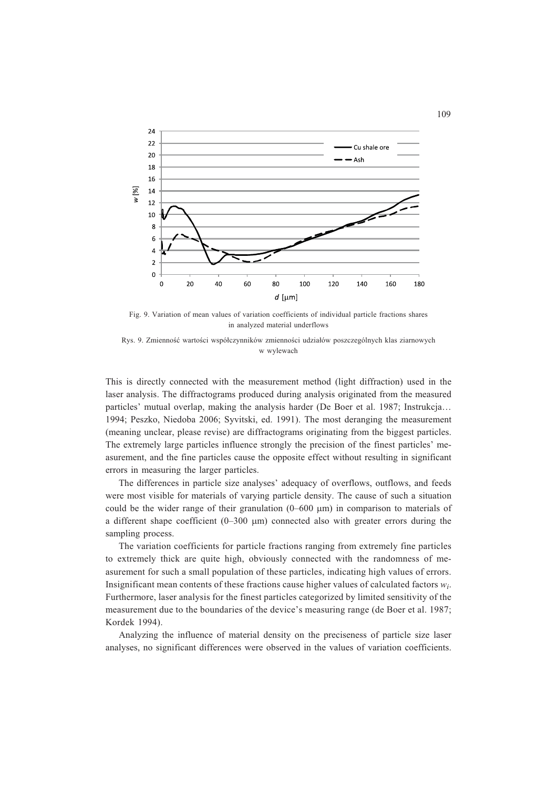

Fig. 9. Variation of mean values of variation coefficients of individual particle fractions shares in analyzed material underflows

Rys. 9. Zmienność wartości współczynników zmienności udziałów poszczególnych klas ziarnowych w wylewach

This is directly connected with the measurement method (light diffraction) used in the laser analysis. The diffractograms produced during analysis originated from the measured particles' mutual overlap, making the analysis harder (De Boer et al. 1987; Instrukcja… 1994; Peszko, Niedoba 2006; Syvitski, ed. 1991). The most deranging the measurement (meaning unclear, please revise) are diffractograms originating from the biggest particles. The extremely large particles influence strongly the precision of the finest particles' measurement, and the fine particles cause the opposite effect without resulting in significant errors in measuring the larger particles.

The differences in particle size analyses' adequacy of overflows, outflows, and feeds were most visible for materials of varying particle density. The cause of such a situation could be the wider range of their granulation  $(0-600 \mu m)$  in comparison to materials of a different shape coefficient  $(0-300 \mu m)$  connected also with greater errors during the sampling process.

The variation coefficients for particle fractions ranging from extremely fine particles to extremely thick are quite high, obviously connected with the randomness of measurement for such a small population of these particles, indicating high values of errors. Insignificant mean contents of these fractions cause higher values of calculated factors *wi*. Furthermore, laser analysis for the finest particles categorized by limited sensitivity of the measurement due to the boundaries of the device's measuring range (de Boer et al. 1987; Kordek 1994).

Analyzing the influence of material density on the preciseness of particle size laser analyses, no significant differences were observed in the values of variation coefficients.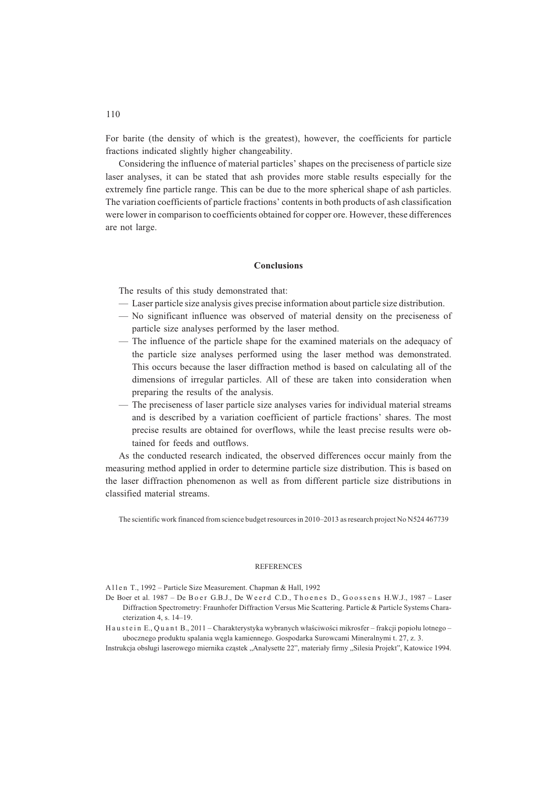For barite (the density of which is the greatest), however, the coefficients for particle fractions indicated slightly higher changeability.

Considering the influence of material particles' shapes on the preciseness of particle size laser analyses, it can be stated that ash provides more stable results especially for the extremely fine particle range. This can be due to the more spherical shape of ash particles. The variation coefficients of particle fractions' contents in both products of ash classification were lower in comparison to coefficients obtained for copper ore. However, these differences are not large.

## **Conclusions**

The results of this study demonstrated that:

- Laser particle size analysis gives precise information about particle size distribution.
- No significant influence was observed of material density on the preciseness of particle size analyses performed by the laser method.
- The influence of the particle shape for the examined materials on the adequacy of the particle size analyses performed using the laser method was demonstrated. This occurs because the laser diffraction method is based on calculating all of the dimensions of irregular particles. All of these are taken into consideration when preparing the results of the analysis.
- The preciseness of laser particle size analyses varies for individual material streams and is described by a variation coefficient of particle fractions' shares. The most precise results are obtained for overflows, while the least precise results were obtained for feeds and outflows.

As the conducted research indicated, the observed differences occur mainly from the measuring method applied in order to determine particle size distribution. This is based on the laser diffraction phenomenon as well as from different particle size distributions in classified material streams.

The scientific work financed from science budget resources in 2010–2013 as research project No N524 467739

### **REFERENCES**

A l l e n T., 1992 – Particle Size Measurement. Chapman & Hall, 1992

- De Boer et al. 1987 De Boer G.B.J., De Weerd C.D., Thoenes D., Goossens H.W.J., 1987 Laser Diffraction Spectrometry: Fraunhofer Diffraction Versus Mie Scattering. Particle & Particle Systems Characterization 4, s. 14–19.
- H a u s t e in E., Qu a n t B., 2011 Charakterystyka wybranych właściwości mikrosfer frakcji popiołu lotnego ubocznego produktu spalania wêgla kamiennego. Gospodarka Surowcami Mineralnymi t. 27, z. 3.

Instrukcja obsługi laserowego miernika cząstek "Analysette 22", materiały firmy "Silesia Projekt", Katowice 1994.

## 110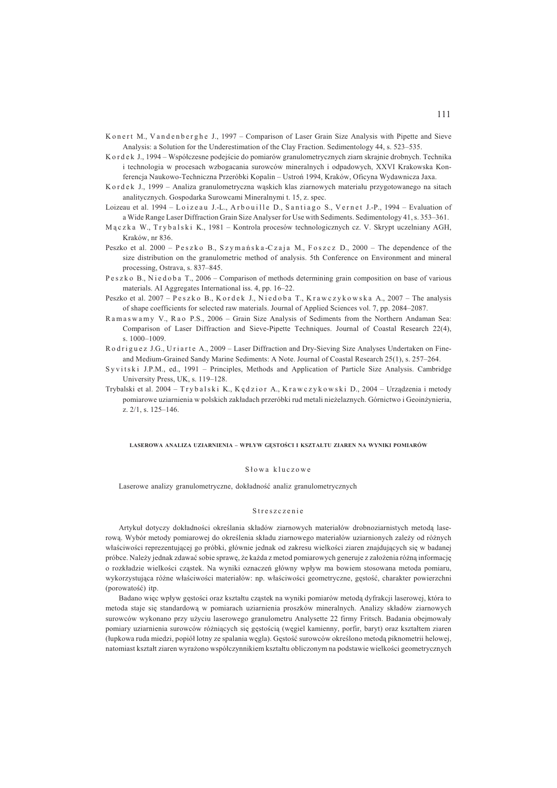- K on ert M., V and en berghe J., 1997 Comparison of Laser Grain Size Analysis with Pipette and Sieve Analysis: a Solution for the Underestimation of the Clay Fraction. Sedimentology 44, s. 523–535.
- K o r d e k J., 1994 Współczesne podejście do pomiarów granulometrycznych ziarn skrajnie drobnych. Technika i technologia w procesach wzbogacania surowców mineralnych i odpadowych, XXVI Krakowska Konferencja Naukowo-Techniczna Przeróbki Kopalin – Ustroñ 1994, Kraków, Oficyna Wydawnicza Jaxa.
- K o r d e k J., 1999 Analiza granulometryczna wąskich klas ziarnowych materiału przygotowanego na sitach analitycznych. Gospodarka Surowcami Mineralnymi t. 15, z. spec.
- Loizeau et al. 1994 Loizeau J.-L., Arbouille D., Santiago S., Vernet J.-P., 1994 Evaluation of a Wide Range Laser Diffraction Grain Size Analyser for Use with Sediments. Sedimentology 41, s. 353–361.
- Mączka W., Trybalski K., 1981 Kontrola procesów technologicznych cz. V. Skrypt uczelniany AGH, Kraków, nr 836.
- Peszko et al. 2000 Peszko B., Szymańska-Czaja M., Foszcz D., 2000 The dependence of the size distribution on the granulometric method of analysis. 5th Conference on Environment and mineral processing, Ostrava, s. 837–845.
- Peszko B., Niedoba T., 2006 Comparison of methods determining grain composition on base of various materials. AI Aggregates International iss. 4, pp. 16–22.
- Peszko et al. 2007 Peszko B., Kordek J., Niedoba T., Krawczykowska A., 2007 The analysis of shape coefficients for selected raw materials. Journal of Applied Sciences vol. 7, pp. 2084–2087.
- Ramaswamy V., Rao P.S., 2006 Grain Size Analysis of Sediments from the Northern Andaman Sea: Comparison of Laser Diffraction and Sieve-Pipette Techniques. Journal of Coastal Research 22(4), s. 1000–1009.
- Rodriguez J.G., Uriarte A., 2009 Laser Diffraction and Dry-Sieving Size Analyses Undertaken on Fineand Medium-Grained Sandy Marine Sediments: A Note. Journal of Coastal Research 25(1), s. 257–264.
- Syvitski J.P.M., ed., 1991 Principles, Methods and Application of Particle Size Analysis. Cambridge University Press, UK, s. 119–128.
- Trybalski et al. 2004 Trybalski K., Kedzior A., Krawczykowski D., 2004 Urzadzenia i metody pomiarowe uziarnienia w polskich zakładach przeróbki rud metali nieżelaznych. Górnictwo i Geoinżynieria, z. 2/1, s. 125–146.

**LASEROWA ANALIZA UZIARNIENIA – WP£YW GÊSTOŒCI I KSZTA£TU ZIAREN NA WYNIKI POMIARÓW**

## Słowa kluczowe

Laserowe analizy granulometryczne, dokładność analiz granulometrycznych

#### Streszczenie

Artykuł dotyczy dokładności określania składów ziarnowych materiałów drobnoziarnistych metodą laserową. Wybór metody pomiarowej do określenia składu ziarnowego materiałów uziarnionych zależy od różnych właściwości reprezentującej go próbki, głównie jednak od zakresu wielkości ziaren znajdujących się w badanej próbce. Należy jednak zdawać sobie sprawę, że każda z metod pomiarowych generuje z założenia różną informację o rozkładzie wielkości cząstek. Na wyniki oznaczeń główny wpływ ma bowiem stosowana metoda pomiaru, wykorzystująca różne właściwości materiałów: np. właściwości geometryczne, gęstość, charakter powierzchni (porowatość) itp.

Badano więc wpływ gęstości oraz kształtu cząstek na wyniki pomiarów metodą dyfrakcji laserowej, która to metoda staje się standardową w pomiarach uziarnienia proszków mineralnych. Analizy składów ziarnowych surowców wykonano przy użyciu laserowego granulometru Analysette 22 firmy Fritsch. Badania obejmowały pomiary uziarnienia surowców różniących się gęstością (węgiel kamienny, porfir, baryt) oraz kształtem ziaren (łupkowa ruda miedzi, popiół lotny ze spalania węgla). Gęstość surowców określono metodą piknometrii helowej, natomiast kształt ziaren wyrażono współczynnikiem kształtu obliczonym na podstawie wielkości geometrycznych